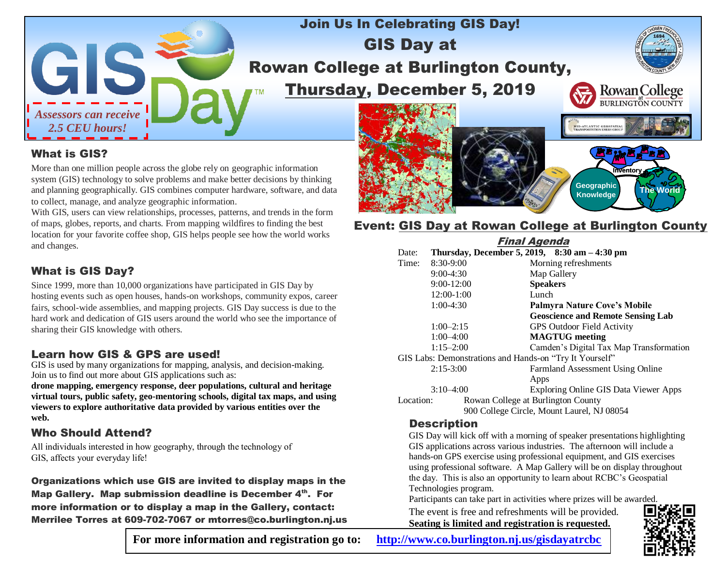

## Join Us In Celebrating GIS Day! GIS Day at Rowan College at Burlington County, Thursday, December 5, 2019



**Inventory**

-<br>ATLANTIC GEOSPATIA

**The World Geographic**

#### What is GIS?

More than one million people across the globe rely on geographic information system (GIS) technology to solve problems and make better decisions by thinking and planning geographically. GIS combines computer hardware, software, and data to collect, manage, and analyze geographic information.

With GIS, users can view relationships, processes, patterns, and trends in the form of maps, globes, reports, and charts. From mapping wildfires to finding the best location for your favorite coffee shop, GIS helps people see how the world works and changes.

#### What is GIS Day?

Since 1999, more than 10,000 organizations have participated in GIS Day by hosting events such as open houses, hands-on workshops, community expos, career fairs, school-wide assemblies, and mapping projects. GIS Day success is due to the hard work and dedication of GIS users around the world who see the importance of sharing their GIS knowledge with others.

#### Learn how GIS & GPS are used!

GIS is used by many organizations for mapping, analysis, and decision-making. Join us to find out more about GIS applications such as:

**drone mapping, emergency response, deer populations, cultural and heritage virtual tours, public safety, geo-mentoring schools, digital tax maps, and using viewers to explore authoritative data provided by various entities over the web.**

#### Who Should Attend?

All individuals interested in how geography, through the technology of GIS, affects your everyday life!

Organizations which use GIS are invited to display maps in the Map Gallery. Map submission deadline is December 4th. For more information or to display a map in the Gallery, contact: Merrilee Torres at 609-702-7067 or mtorres@co.burlington.nj.us



### **Event: GIS Day at Rowan College at Burlington County**

| <b>Final Agenda</b>                                     |                |                                                  |
|---------------------------------------------------------|----------------|--------------------------------------------------|
| Date:                                                   |                | Thursday, December 5, 2019, $8:30$ am $-4:30$ pm |
| Time:                                                   | $8:30-9:00$    | Morning refreshments                             |
|                                                         | $9:00-4:30$    | Map Gallery                                      |
|                                                         | $9:00 - 12:00$ | <b>Speakers</b>                                  |
|                                                         | $12:00-1:00$   | Lunch                                            |
|                                                         | $1:00-4:30$    | Palmyra Nature Cove's Mobile                     |
|                                                         |                | <b>Geoscience and Remote Sensing Lab</b>         |
|                                                         | $1:00-2:15$    | <b>GPS Outdoor Field Activity</b>                |
|                                                         | $1:00 - 4:00$  | <b>MAGTUG</b> meeting                            |
|                                                         | $1:15 - 2:00$  | Camden's Digital Tax Map Transformation          |
| GIS Labs: Demonstrations and Hands-on "Try It Yourself" |                |                                                  |
|                                                         | $2:15-3:00$    | Farmland Assessment Using Online                 |
|                                                         |                | Apps                                             |
|                                                         | $3:10-4:00$    | <b>Exploring Online GIS Data Viewer Apps</b>     |
| Location:                                               |                | Rowan College at Burlington County               |
| 900 College Circle, Mount Laurel, NJ 08054              |                |                                                  |

#### **Description**

GIS Day will kick off with a morning of speaker presentations highlighting GIS applications across various industries. The afternoon will include a hands-on GPS exercise using professional equipment, and GIS exercises using professional software. A Map Gallery will be on display throughout the day. This is also an opportunity to learn about RCBC's Geospatial Technologies program.

Participants can take part in activities where prizes will be awarded.

The event is free and refreshments will be provided. **Seating is limited and registration is requested.**



**For more information and registration go to: <http://www.co.burlington.nj.us/gisdayatrcbc>**